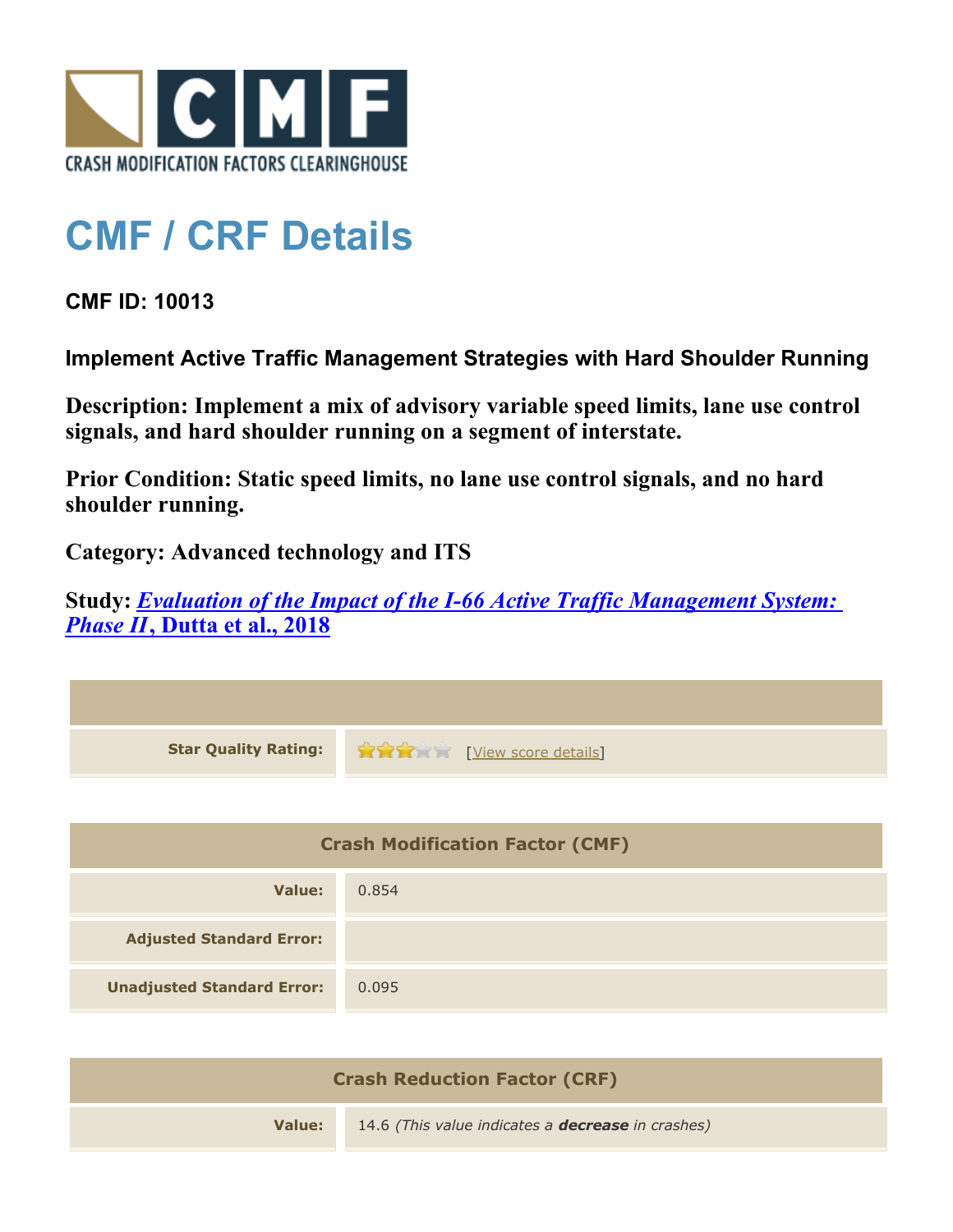

## **CMF / CRF Details**

**CMF ID: 10013**

**Implement Active Traffic Management Strategies with Hard Shoulder Running**

**Description: Implement a mix of advisory variable speed limits, lane use control signals, and hard shoulder running on a segment of interstate.**

**Prior Condition: Static speed limits, no lane use control signals, and no hard shoulder running.**

**Category: Advanced technology and ITS**

**Study:** *[Evaluation of the Impact of the I-66 Active Traffic Management System:](http://www.cmfclearinghouse.org/study_detail.cfm?stid=571) [Phase II](http://www.cmfclearinghouse.org/study_detail.cfm?stid=571)***[, Dutta et al., 2018](http://www.cmfclearinghouse.org/study_detail.cfm?stid=571)**

| <b>Star Quality Rating:</b>            | View score details |
|----------------------------------------|--------------------|
|                                        |                    |
| <b>Crash Modification Factor (CMF)</b> |                    |
| <b>Value:</b>                          | 0.854              |
| <b>Adjusted Standard Error:</b>        |                    |
| <b>Unadjusted Standard Error:</b>      | 0.095              |

| <b>Crash Reduction Factor (CRF)</b> |                                                          |
|-------------------------------------|----------------------------------------------------------|
| Value:                              | 14.6 (This value indicates a <b>decrease</b> in crashes) |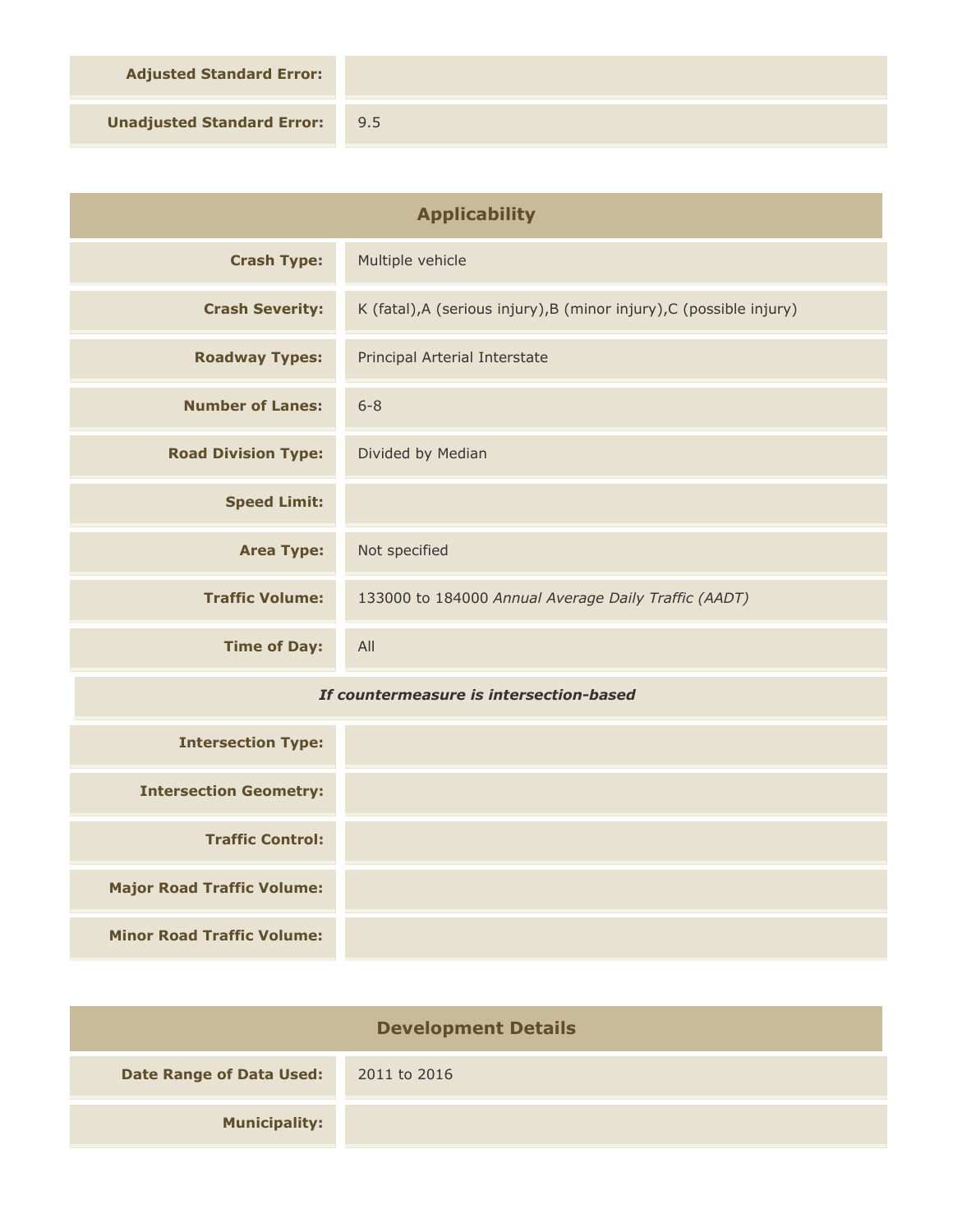**Adjusted Standard Error:**

**Unadjusted Standard Error:** 9.5

| <b>Applicability</b>                    |                                                                      |
|-----------------------------------------|----------------------------------------------------------------------|
| <b>Crash Type:</b>                      | Multiple vehicle                                                     |
| <b>Crash Severity:</b>                  | K (fatal), A (serious injury), B (minor injury), C (possible injury) |
| <b>Roadway Types:</b>                   | Principal Arterial Interstate                                        |
| <b>Number of Lanes:</b>                 | $6 - 8$                                                              |
| <b>Road Division Type:</b>              | Divided by Median                                                    |
| <b>Speed Limit:</b>                     |                                                                      |
| <b>Area Type:</b>                       | Not specified                                                        |
| <b>Traffic Volume:</b>                  | 133000 to 184000 Annual Average Daily Traffic (AADT)                 |
| <b>Time of Day:</b>                     | All                                                                  |
| If countermeasure is intersection-based |                                                                      |

| <b>Intersection Type:</b>         |  |
|-----------------------------------|--|
| <b>Intersection Geometry:</b>     |  |
| <b>Traffic Control:</b>           |  |
| <b>Major Road Traffic Volume:</b> |  |
| <b>Minor Road Traffic Volume:</b> |  |

| <b>Development Details</b>      |              |
|---------------------------------|--------------|
| <b>Date Range of Data Used:</b> | 2011 to 2016 |
| <b>Municipality:</b>            |              |